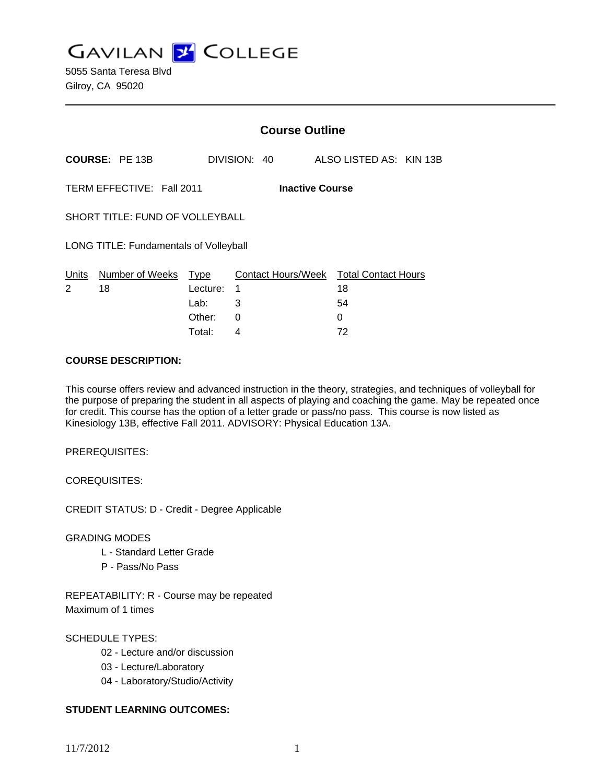**GAVILAN J COLLEGE** 

|                                                     |                       | <b>Course Outline</b> |   |              |                                              |                         |  |
|-----------------------------------------------------|-----------------------|-----------------------|---|--------------|----------------------------------------------|-------------------------|--|
|                                                     | <b>COURSE: PE 13B</b> |                       |   | DIVISION: 40 |                                              | ALSO LISTED AS: KIN 13B |  |
| TERM EFFECTIVE: Fall 2011<br><b>Inactive Course</b> |                       |                       |   |              |                                              |                         |  |
| SHORT TITLE: FUND OF VOLLEYBALL                     |                       |                       |   |              |                                              |                         |  |
| <b>LONG TITLE: Fundamentals of Volleyball</b>       |                       |                       |   |              |                                              |                         |  |
| Units<br>2                                          | Number of Weeks<br>18 | Type<br>Lecture:<br>1 |   |              | Contact Hours/Week Total Contact Hours<br>18 |                         |  |
|                                                     |                       | Lab:                  | 3 |              |                                              | 54                      |  |
|                                                     |                       | Other:                | 0 |              | 0                                            |                         |  |

Total: 4 72

### **COURSE DESCRIPTION:**

This course offers review and advanced instruction in the theory, strategies, and techniques of volleyball for the purpose of preparing the student in all aspects of playing and coaching the game. May be repeated once for credit. This course has the option of a letter grade or pass/no pass. This course is now listed as Kinesiology 13B, effective Fall 2011. ADVISORY: Physical Education 13A.

PREREQUISITES:

COREQUISITES:

CREDIT STATUS: D - Credit - Degree Applicable

GRADING MODES

- L Standard Letter Grade
- P Pass/No Pass

REPEATABILITY: R - Course may be repeated Maximum of 1 times

## SCHEDULE TYPES:

- 02 Lecture and/or discussion
- 03 Lecture/Laboratory
- 04 Laboratory/Studio/Activity

## **STUDENT LEARNING OUTCOMES:**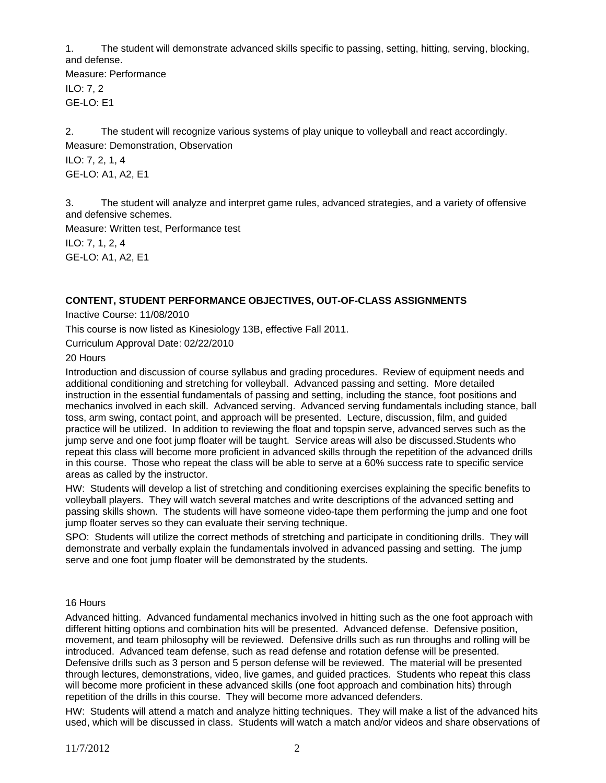1. The student will demonstrate advanced skills specific to passing, setting, hitting, serving, blocking, and defense.

Measure: Performance ILO: 7, 2 GE-LO: E1

2. The student will recognize various systems of play unique to volleyball and react accordingly. Measure: Demonstration, Observation

ILO: 7, 2, 1, 4 GE-LO: A1, A2, E1

3. The student will analyze and interpret game rules, advanced strategies, and a variety of offensive and defensive schemes.

Measure: Written test, Performance test

ILO: 7, 1, 2, 4 GE-LO: A1, A2, E1

# **CONTENT, STUDENT PERFORMANCE OBJECTIVES, OUT-OF-CLASS ASSIGNMENTS**

Inactive Course: 11/08/2010

This course is now listed as Kinesiology 13B, effective Fall 2011.

Curriculum Approval Date: 02/22/2010

20 Hours

Introduction and discussion of course syllabus and grading procedures. Review of equipment needs and additional conditioning and stretching for volleyball. Advanced passing and setting. More detailed instruction in the essential fundamentals of passing and setting, including the stance, foot positions and mechanics involved in each skill. Advanced serving. Advanced serving fundamentals including stance, ball toss, arm swing, contact point, and approach will be presented. Lecture, discussion, film, and guided practice will be utilized. In addition to reviewing the float and topspin serve, advanced serves such as the jump serve and one foot jump floater will be taught. Service areas will also be discussed.Students who repeat this class will become more proficient in advanced skills through the repetition of the advanced drills in this course. Those who repeat the class will be able to serve at a 60% success rate to specific service areas as called by the instructor.

HW: Students will develop a list of stretching and conditioning exercises explaining the specific benefits to volleyball players. They will watch several matches and write descriptions of the advanced setting and passing skills shown. The students will have someone video-tape them performing the jump and one foot jump floater serves so they can evaluate their serving technique.

SPO: Students will utilize the correct methods of stretching and participate in conditioning drills. They will demonstrate and verbally explain the fundamentals involved in advanced passing and setting. The jump serve and one foot jump floater will be demonstrated by the students.

## 16 Hours

Advanced hitting. Advanced fundamental mechanics involved in hitting such as the one foot approach with different hitting options and combination hits will be presented. Advanced defense. Defensive position, movement, and team philosophy will be reviewed. Defensive drills such as run throughs and rolling will be introduced. Advanced team defense, such as read defense and rotation defense will be presented. Defensive drills such as 3 person and 5 person defense will be reviewed. The material will be presented through lectures, demonstrations, video, live games, and guided practices. Students who repeat this class will become more proficient in these advanced skills (one foot approach and combination hits) through repetition of the drills in this course. They will become more advanced defenders.

HW: Students will attend a match and analyze hitting techniques. They will make a list of the advanced hits used, which will be discussed in class. Students will watch a match and/or videos and share observations of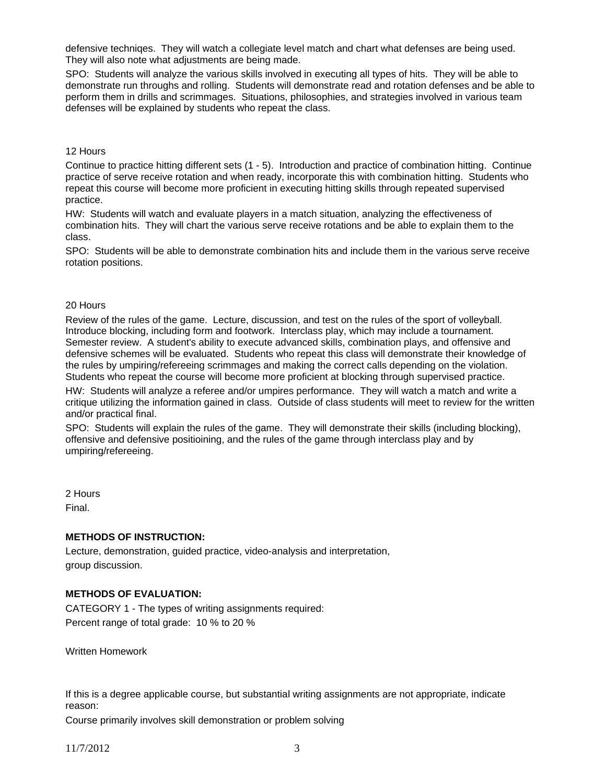defensive techniqes. They will watch a collegiate level match and chart what defenses are being used. They will also note what adjustments are being made.

SPO: Students will analyze the various skills involved in executing all types of hits. They will be able to demonstrate run throughs and rolling. Students will demonstrate read and rotation defenses and be able to perform them in drills and scrimmages. Situations, philosophies, and strategies involved in various team defenses will be explained by students who repeat the class.

#### 12 Hours

Continue to practice hitting different sets (1 - 5). Introduction and practice of combination hitting. Continue practice of serve receive rotation and when ready, incorporate this with combination hitting. Students who repeat this course will become more proficient in executing hitting skills through repeated supervised practice.

HW: Students will watch and evaluate players in a match situation, analyzing the effectiveness of combination hits. They will chart the various serve receive rotations and be able to explain them to the class.

SPO: Students will be able to demonstrate combination hits and include them in the various serve receive rotation positions.

#### 20 Hours

Review of the rules of the game. Lecture, discussion, and test on the rules of the sport of volleyball. Introduce blocking, including form and footwork. Interclass play, which may include a tournament. Semester review. A student's ability to execute advanced skills, combination plays, and offensive and defensive schemes will be evaluated. Students who repeat this class will demonstrate their knowledge of the rules by umpiring/refereeing scrimmages and making the correct calls depending on the violation. Students who repeat the course will become more proficient at blocking through supervised practice.

HW: Students will analyze a referee and/or umpires performance. They will watch a match and write a critique utilizing the information gained in class. Outside of class students will meet to review for the written and/or practical final.

SPO: Students will explain the rules of the game. They will demonstrate their skills (including blocking), offensive and defensive positioining, and the rules of the game through interclass play and by umpiring/refereeing.

2 Hours Final.

### **METHODS OF INSTRUCTION:**

Lecture, demonstration, guided practice, video-analysis and interpretation, group discussion.

# **METHODS OF EVALUATION:**

CATEGORY 1 - The types of writing assignments required: Percent range of total grade: 10 % to 20 %

Written Homework

If this is a degree applicable course, but substantial writing assignments are not appropriate, indicate reason:

Course primarily involves skill demonstration or problem solving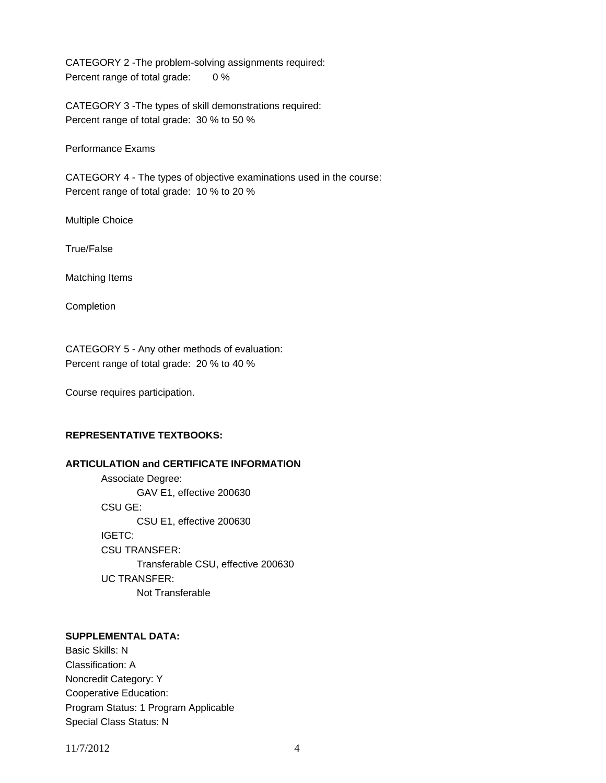CATEGORY 2 -The problem-solving assignments required: Percent range of total grade: 0 %

CATEGORY 3 -The types of skill demonstrations required: Percent range of total grade: 30 % to 50 %

Performance Exams

CATEGORY 4 - The types of objective examinations used in the course: Percent range of total grade: 10 % to 20 %

Multiple Choice

True/False

Matching Items

Completion

CATEGORY 5 - Any other methods of evaluation: Percent range of total grade: 20 % to 40 %

Course requires participation.

# **REPRESENTATIVE TEXTBOOKS:**

### **ARTICULATION and CERTIFICATE INFORMATION**

 Associate Degree: GAV E1, effective 200630 CSU GE: CSU E1, effective 200630 IGETC: CSU TRANSFER: Transferable CSU, effective 200630 UC TRANSFER: Not Transferable

# **SUPPLEMENTAL DATA:**

Basic Skills: N Classification: A Noncredit Category: Y Cooperative Education: Program Status: 1 Program Applicable Special Class Status: N

11/7/2012 4